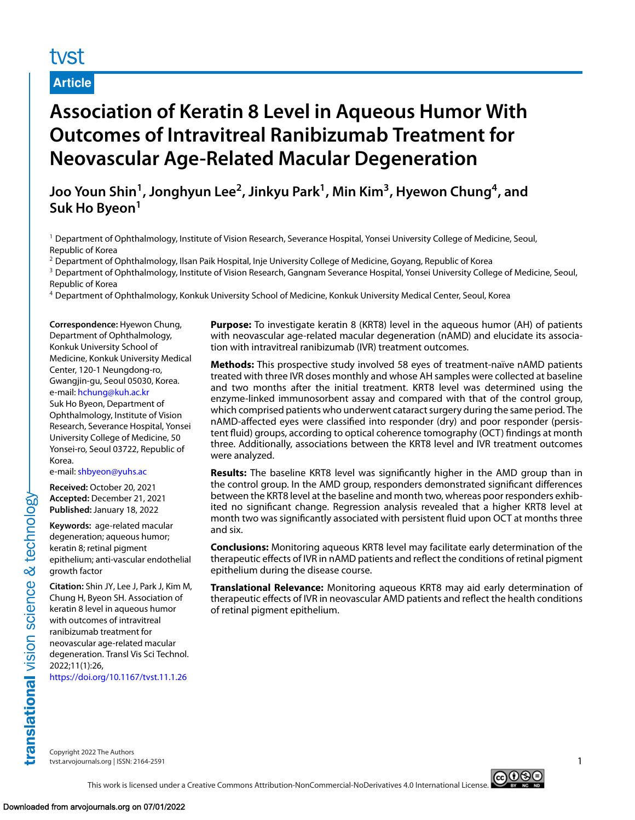# tyst

### **Article**

# **Association of Keratin 8 Level in Aqueous Humor With Outcomes of Intravitreal Ranibizumab Treatment for Neovascular Age-Related Macular Degeneration**

**Joo Youn Shin1, Jonghyun Lee2, Jinkyu Park1, Min Kim3, Hyewon Chung4, and Suk Ho Byeon<sup>1</sup>**

<sup>1</sup> Department of Ophthalmology, Institute of Vision Research, Severance Hospital, Yonsei University College of Medicine, Seoul, Republic of Korea

<sup>2</sup> Department of Ophthalmology, Ilsan Paik Hospital, Inje University College of Medicine, Goyang, Republic of Korea

<sup>3</sup> Department of Ophthalmology, Institute of Vision Research, Gangnam Severance Hospital, Yonsei University College of Medicine, Seoul, Republic of Korea

<sup>4</sup> Department of Ophthalmology, Konkuk University School of Medicine, Konkuk University Medical Center, Seoul, Korea

**Correspondence:** Hyewon Chung, Department of Ophthalmology, Konkuk University School of Medicine, Konkuk University Medical Center, 120-1 Neungdong-ro, Gwangjin-gu, Seoul 05030, Korea. e-mail: [hchung@kuh.ac.kr](mailto:hchung@kuh.ac.kr) Suk Ho Byeon, Department of Ophthalmology, Institute of Vision Research, Severance Hospital, Yonsei University College of Medicine, 50 Yonsei-ro, Seoul 03722, Republic of Korea.

e-mail: [shbyeon@yuhs.ac](mailto:shbyeon@yuhs.ac)

**Received:** October 20, 2021 **Accepted:** December 21, 2021 **Published:** January 18, 2022

**Keywords:** age-related macular degeneration; aqueous humor; keratin 8; retinal pigment epithelium; anti-vascular endothelial growth factor

**Citation:** Shin JY, Lee J, Park J, Kim M, Chung H, Byeon SH. Association of keratin 8 level in aqueous humor with outcomes of intravitreal ranibizumab treatment for neovascular age-related macular degeneration. Transl Vis Sci Technol. 2022;11(1):26,

<https://doi.org/10.1167/tvst.11.1.26>

**Purpose:** To investigate keratin 8 (KRT8) level in the aqueous humor (AH) of patients with neovascular age-related macular degeneration (nAMD) and elucidate its association with intravitreal ranibizumab (IVR) treatment outcomes.

**Methods:** This prospective study involved 58 eyes of treatment-naïve nAMD patients treated with three IVR doses monthly and whose AH samples were collected at baseline and two months after the initial treatment. KRT8 level was determined using the enzyme-linked immunosorbent assay and compared with that of the control group, which comprised patients who underwent cataract surgery during the same period. The nAMD-affected eyes were classified into responder (dry) and poor responder (persistent fluid) groups, according to optical coherence tomography (OCT) findings at month three. Additionally, associations between the KRT8 level and IVR treatment outcomes were analyzed.

**Results:** The baseline KRT8 level was significantly higher in the AMD group than in the control group. In the AMD group, responders demonstrated significant differences between the KRT8 level at the baseline and month two, whereas poor responders exhibited no significant change. Regression analysis revealed that a higher KRT8 level at month two was significantly associated with persistent fluid upon OCT at months three and six.

**Conclusions:** Monitoring aqueous KRT8 level may facilitate early determination of the therapeutic effects of IVR in nAMD patients and reflect the conditions of retinal pigment epithelium during the disease course.

**Translational Relevance:** Monitoring aqueous KRT8 may aid early determination of therapeutic effects of IVR in neovascular AMD patients and reflect the health conditions of retinal pigment epithelium.

translational vision science & technology

Copyright 2022 The Authors tvst.arvojournals.org | ISSN: 2164-2591 1

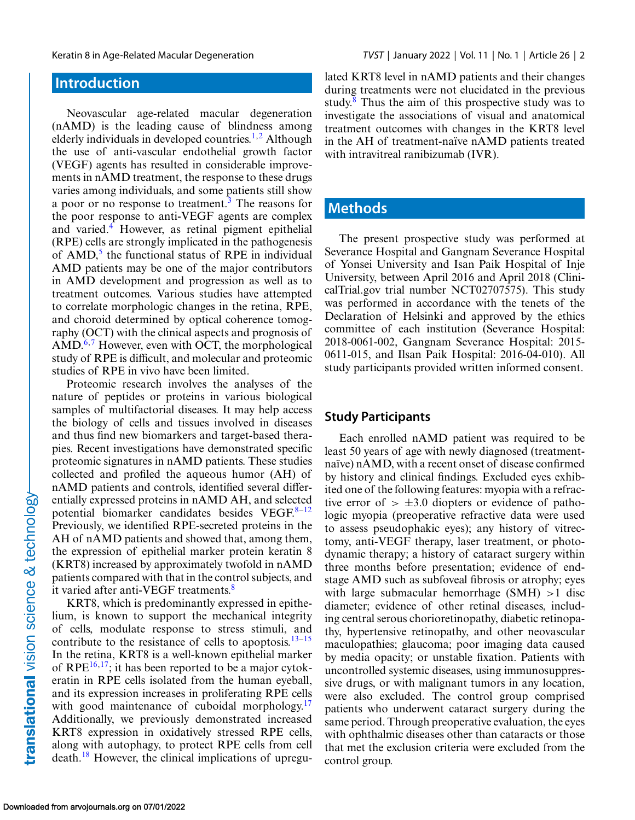## **Introduction**

Neovascular age-related macular degeneration (nAMD) is the leading cause of blindness among elderly individuals in developed countries.<sup>[1,2](#page-8-0)</sup> Although the use of anti-vascular endothelial growth factor (VEGF) agents has resulted in considerable improvements in nAMD treatment, the response to these drugs varies among individuals, and some patients still show a poor or no response to treatment.<sup>[3](#page-8-0)</sup> The reasons for the poor response to anti-VEGF agents are complex and varied.<sup>4</sup> However, as retinal pigment epithelial (RPE) cells are strongly implicated in the pathogenesis of  $AMD<sub>1</sub><sup>5</sup>$  the functional status of RPE in individual AMD patients may be one of the major contributors in AMD development and progression as well as to treatment outcomes. Various studies have attempted to correlate morphologic changes in the retina, RPE, and choroid determined by optical coherence tomography (OCT) with the clinical aspects and prognosis of  $\text{AMD}^{6,7}$  $\text{AMD}^{6,7}$  $\text{AMD}^{6,7}$  However, even with OCT, the morphological study of RPE is difficult, and molecular and proteomic studies of RPE in vivo have been limited.

Proteomic research involves the analyses of the nature of peptides or proteins in various biological samples of multifactorial diseases. It may help access the biology of cells and tissues involved in diseases and thus find new biomarkers and target-based therapies. Recent investigations have demonstrated specific proteomic signatures in nAMD patients. These studies collected and profiled the aqueous humor (AH) of nAMD patients and controls, identified several differentially expressed proteins in nAMD AH, and selected potential biomarker candidates besides VEGF. $8-12$ Previously, we identified RPE-secreted proteins in the AH of nAMD patients and showed that, among them, the expression of epithelial marker protein keratin 8 (KRT8) increased by approximately twofold in nAMD patients compared with that in the control subjects, and it varied after anti-VEGF treatments.<sup>[8](#page-9-0)</sup>

KRT8, which is predominantly expressed in epithelium, is known to support the mechanical integrity of cells, modulate response to stress stimuli, and contribute to the resistance of cells to apoptosis.<sup>13–15</sup> In the retina, KRT8 is a well-known epithelial marker of RPE $^{16,17}$ ; it has been reported to be a major cytokeratin in RPE cells isolated from the human eyeball, and its expression increases in proliferating RPE cells with good maintenance of cuboidal morphology. $17$ Additionally, we previously demonstrated increased KRT8 expression in oxidatively stressed RPE cells, along with autophagy, to protect RPE cells from cell death.[18](#page-9-0) However, the clinical implications of upregulated KRT8 level in nAMD patients and their changes during treatments were not elucidated in the previous study. $8$  Thus the aim of this prospective study was to investigate the associations of visual and anatomical treatment outcomes with changes in the KRT8 level in the AH of treatment-naïve nAMD patients treated with intravitreal ranibizumab (IVR).

## **Methods**

The present prospective study was performed at Severance Hospital and Gangnam Severance Hospital of Yonsei University and Isan Paik Hospital of Inje University, between April 2016 and April 2018 (ClinicalTrial.gov trial number NCT02707575). This study was performed in accordance with the tenets of the Declaration of Helsinki and approved by the ethics committee of each institution (Severance Hospital: 2018-0061-002, Gangnam Severance Hospital: 2015- 0611-015, and Ilsan Paik Hospital: 2016-04-010). All study participants provided written informed consent.

#### **Study Participants**

Each enrolled nAMD patient was required to be least 50 years of age with newly diagnosed (treatmentnaïve) nAMD, with a recent onset of disease confirmed by history and clinical findings. Excluded eyes exhibited one of the following features: myopia with a refractive error of  $> \pm 3.0$  diopters or evidence of pathologic myopia (preoperative refractive data were used to assess pseudophakic eyes); any history of vitrectomy, anti-VEGF therapy, laser treatment, or photodynamic therapy; a history of cataract surgery within three months before presentation; evidence of endstage AMD such as subfoveal fibrosis or atrophy; eyes with large submacular hemorrhage  $(SMH) > 1$  disc diameter; evidence of other retinal diseases, including central serous chorioretinopathy, diabetic retinopathy, hypertensive retinopathy, and other neovascular maculopathies; glaucoma; poor imaging data caused by media opacity; or unstable fixation. Patients with uncontrolled systemic diseases, using immunosuppressive drugs, or with malignant tumors in any location, were also excluded. The control group comprised patients who underwent cataract surgery during the same period. Through preoperative evaluation, the eyes with ophthalmic diseases other than cataracts or those that met the exclusion criteria were excluded from the control group.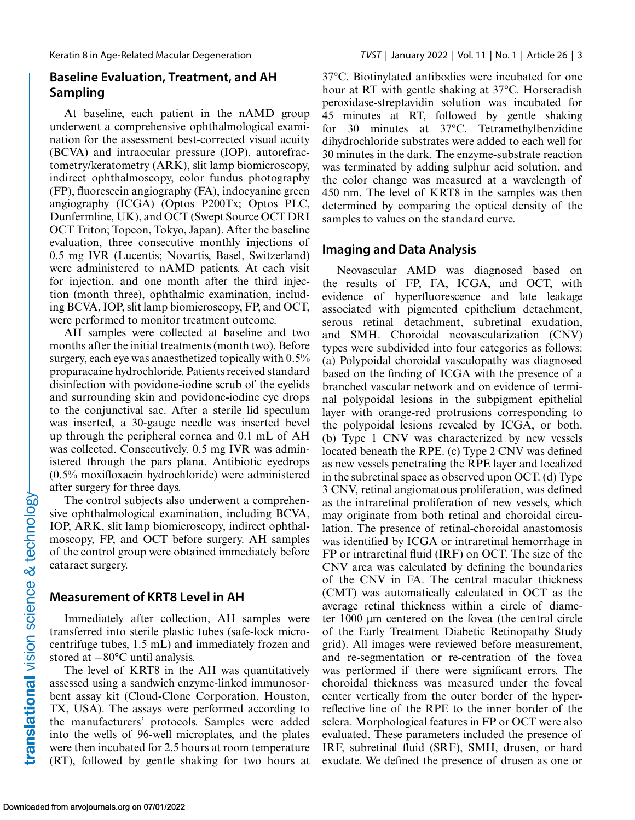### **Baseline Evaluation, Treatment, and AH Sampling**

At baseline, each patient in the nAMD group underwent a comprehensive ophthalmological examination for the assessment best-corrected visual acuity (BCVA) and intraocular pressure (IOP), autorefractometry/keratometry (ARK), slit lamp biomicroscopy, indirect ophthalmoscopy, color fundus photography (FP), fluorescein angiography (FA), indocyanine green angiography (ICGA) (Optos P200Tx; Optos PLC, Dunfermline, UK), and OCT (Swept Source OCT DRI OCT Triton; Topcon, Tokyo, Japan). After the baseline evaluation, three consecutive monthly injections of 0.5 mg IVR (Lucentis; Novartis, Basel, Switzerland) were administered to nAMD patients. At each visit for injection, and one month after the third injection (month three), ophthalmic examination, including BCVA, IOP, slit lamp biomicroscopy, FP, and OCT, were performed to monitor treatment outcome.

AH samples were collected at baseline and two months after the initial treatments (month two). Before surgery, each eye was anaesthetized topically with 0.5% proparacaine hydrochloride. Patients received standard disinfection with povidone-iodine scrub of the eyelids and surrounding skin and povidone-iodine eye drops to the conjunctival sac. After a sterile lid speculum was inserted, a 30-gauge needle was inserted bevel up through the peripheral cornea and 0.1 mL of AH was collected. Consecutively, 0.5 mg IVR was administered through the pars plana. Antibiotic eyedrops (0.5% moxifloxacin hydrochloride) were administered after surgery for three days.

The control subjects also underwent a comprehensive ophthalmological examination, including BCVA, IOP, ARK, slit lamp biomicroscopy, indirect ophthalmoscopy, FP, and OCT before surgery. AH samples of the control group were obtained immediately before cataract surgery.

#### **Measurement of KRT8 Level in AH**

Immediately after collection, AH samples were transferred into sterile plastic tubes (safe-lock microcentrifuge tubes, 1.5 mL) and immediately frozen and stored at −80°C until analysis.

The level of KRT8 in the AH was quantitatively assessed using a sandwich enzyme-linked immunosorbent assay kit (Cloud-Clone Corporation, Houston, TX, USA). The assays were performed according to the manufacturers' protocols. Samples were added into the wells of 96-well microplates, and the plates were then incubated for 2.5 hours at room temperature (RT), followed by gentle shaking for two hours at

37°C. Biotinylated antibodies were incubated for one hour at RT with gentle shaking at 37°C. Horseradish peroxidase-streptavidin solution was incubated for 45 minutes at RT, followed by gentle shaking for 30 minutes at 37°C. Tetramethylbenzidine dihydrochloride substrates were added to each well for 30 minutes in the dark. The enzyme-substrate reaction was terminated by adding sulphur acid solution, and the color change was measured at a wavelength of 450 nm. The level of KRT8 in the samples was then determined by comparing the optical density of the samples to values on the standard curve.

#### **Imaging and Data Analysis**

Neovascular AMD was diagnosed based on the results of FP, FA, ICGA, and OCT, with evidence of hyperfluorescence and late leakage associated with pigmented epithelium detachment, serous retinal detachment, subretinal exudation, and SMH. Choroidal neovascularization (CNV) types were subdivided into four categories as follows: (a) Polypoidal choroidal vasculopathy was diagnosed based on the finding of ICGA with the presence of a branched vascular network and on evidence of terminal polypoidal lesions in the subpigment epithelial layer with orange-red protrusions corresponding to the polypoidal lesions revealed by ICGA, or both. (b) Type 1 CNV was characterized by new vessels located beneath the RPE. (c) Type 2 CNV was defined as new vessels penetrating the RPE layer and localized in the subretinal space as observed upon OCT. (d) Type 3 CNV, retinal angiomatous proliferation, was defined as the intraretinal proliferation of new vessels, which may originate from both retinal and choroidal circulation. The presence of retinal-choroidal anastomosis was identified by ICGA or intraretinal hemorrhage in FP or intraretinal fluid (IRF) on OCT. The size of the CNV area was calculated by defining the boundaries of the CNV in FA. The central macular thickness (CMT) was automatically calculated in OCT as the average retinal thickness within a circle of diameter 1000 μm centered on the fovea (the central circle of the Early Treatment Diabetic Retinopathy Study grid). All images were reviewed before measurement, and re-segmentation or re-centration of the fovea was performed if there were significant errors. The choroidal thickness was measured under the foveal center vertically from the outer border of the hyperreflective line of the RPE to the inner border of the sclera. Morphological features in FP or OCT were also evaluated. These parameters included the presence of IRF, subretinal fluid (SRF), SMH, drusen, or hard exudate. We defined the presence of drusen as one or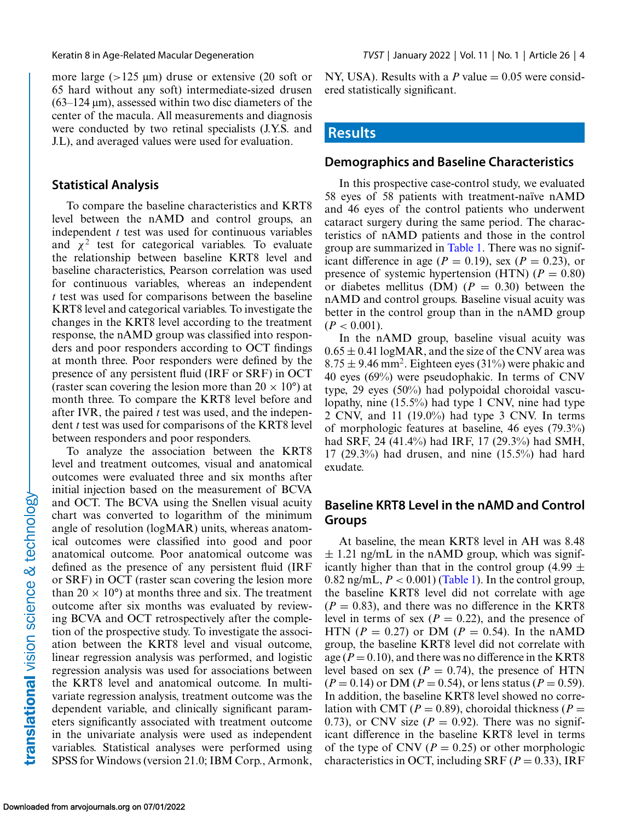more large ( $>125 \mu m$ ) druse or extensive (20 soft or 65 hard without any soft) intermediate-sized drusen  $(63-124 \,\mu m)$ , assessed within two disc diameters of the center of the macula. All measurements and diagnosis were conducted by two retinal specialists (J.Y.S. and J.L), and averaged values were used for evaluation.

#### **Statistical Analysis**

To compare the baseline characteristics and KRT8 level between the nAMD and control groups, an independent *t* test was used for continuous variables and  $\chi^2$  test for categorical variables. To evaluate the relationship between baseline KRT8 level and baseline characteristics, Pearson correlation was used for continuous variables, whereas an independent *t* test was used for comparisons between the baseline KRT8 level and categorical variables. To investigate the changes in the KRT8 level according to the treatment response, the nAMD group was classified into responders and poor responders according to OCT findings at month three. Poor responders were defined by the presence of any persistent fluid (IRF or SRF) in OCT (raster scan covering the lesion more than  $20 \times 10^{\circ}$ ) at month three. To compare the KRT8 level before and after IVR, the paired *t* test was used, and the independent *t* test was used for comparisons of the KRT8 level between responders and poor responders.

To analyze the association between the KRT8 level and treatment outcomes, visual and anatomical outcomes were evaluated three and six months after initial injection based on the measurement of BCVA and OCT. The BCVA using the Snellen visual acuity chart was converted to logarithm of the minimum angle of resolution (logMAR) units, whereas anatomical outcomes were classified into good and poor anatomical outcome. Poor anatomical outcome was defined as the presence of any persistent fluid (IRF or SRF) in OCT (raster scan covering the lesion more than  $20 \times 10^{\circ}$  at months three and six. The treatment outcome after six months was evaluated by reviewing BCVA and OCT retrospectively after the completion of the prospective study. To investigate the association between the KRT8 level and visual outcome, linear regression analysis was performed, and logistic regression analysis was used for associations between the KRT8 level and anatomical outcome. In multivariate regression analysis, treatment outcome was the dependent variable, and clinically significant parameters significantly associated with treatment outcome in the univariate analysis were used as independent variables. Statistical analyses were performed using SPSS for Windows (version 21.0; IBM Corp., Armonk, NY, USA). Results with a  $P$  value  $= 0.05$  were considered statistically significant.

#### **Results**

#### **Demographics and Baseline Characteristics**

In this prospective case-control study, we evaluated 58 eyes of 58 patients with treatment-naïve nAMD and 46 eyes of the control patients who underwent cataract surgery during the same period. The characteristics of nAMD patients and those in the control group are summarized in [Table 1.](#page-4-0) There was no significant difference in age ( $P = 0.19$ ), sex ( $P = 0.23$ ), or presence of systemic hypertension (HTN)  $(P = 0.80)$ or diabetes mellitus (DM)  $(P = 0.30)$  between the nAMD and control groups. Baseline visual acuity was better in the control group than in the nAMD group  $(P < 0.001)$ .

In the nAMD group, baseline visual acuity was  $0.65 \pm 0.41$  logMAR, and the size of the CNV area was  $8.75 \pm 9.46$  mm<sup>2</sup>. Eighteen eyes (31%) were phakic and 40 eyes (69%) were pseudophakic. In terms of CNV type, 29 eyes (50%) had polypoidal choroidal vasculopathy, nine (15.5%) had type 1 CNV, nine had type 2 CNV, and 11 (19.0%) had type 3 CNV. In terms of morphologic features at baseline, 46 eyes (79.3%) had SRF, 24 (41.4%) had IRF, 17 (29.3%) had SMH, 17 (29.3%) had drusen, and nine (15.5%) had hard exudate.

#### **Baseline KRT8 Level in the nAMD and Control Groups**

At baseline, the mean KRT8 level in AH was 8.48  $\pm$  1.21 ng/mL in the nAMD group, which was significantly higher than that in the control group (4.99  $\pm$ 0.82 ng/mL,  $P < 0.001$ ) [\(Table 1\)](#page-4-0). In the control group, the baseline KRT8 level did not correlate with age  $(P = 0.83)$ , and there was no difference in the KRT8 level in terms of sex  $(P = 0.22)$ , and the presence of HTN ( $P = 0.27$ ) or DM ( $P = 0.54$ ). In the nAMD group, the baseline KRT8 level did not correlate with age  $(P = 0.10)$ , and there was no difference in the KRT8 level based on sex ( $P = 0.74$ ), the presence of HTN  $(P = 0.14)$  or DM  $(P = 0.54)$ , or lens status  $(P = 0.59)$ . In addition, the baseline KRT8 level showed no correlation with CMT ( $P = 0.89$ ), choroidal thickness ( $P =$ 0.73), or CNV size  $(P = 0.92)$ . There was no significant difference in the baseline KRT8 level in terms of the type of CNV ( $P = 0.25$ ) or other morphologic characteristics in OCT, including SRF ( $P = 0.33$ ), IRF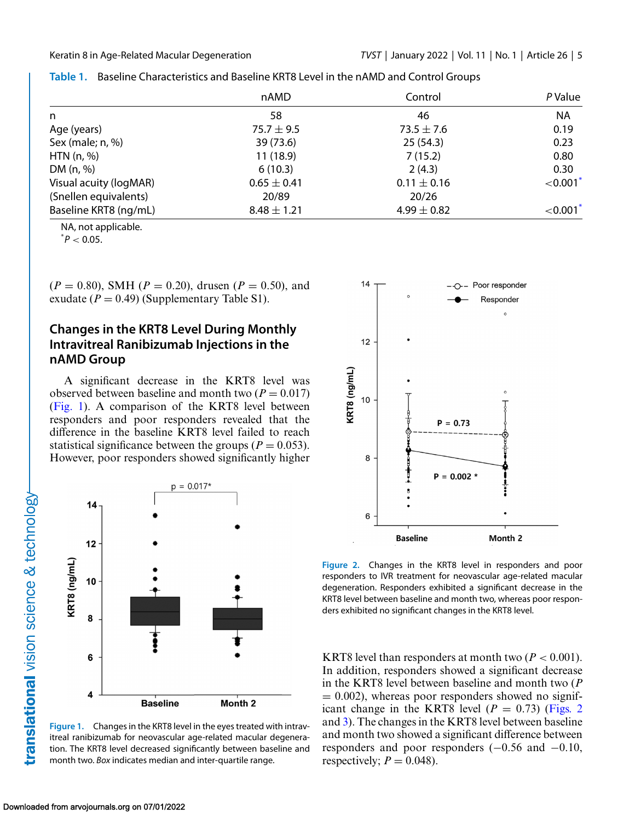|                        | nAMD            | Control         | P Value     |  |
|------------------------|-----------------|-----------------|-------------|--|
| n                      | 58              | 46              | <b>NA</b>   |  |
| Age (years)            | 75.7 $\pm$ 9.5  | $73.5 \pm 7.6$  | 0.19        |  |
| Sex (male; n, %)       | 39 (73.6)       | 25(54.3)        | 0.23        |  |
| HTN $(n, %)$           | 11(18.9)        | 7(15.2)         | 0.80        |  |
| DM $(n, %)$            | 6(10.3)         | 2(4.3)          | 0.30        |  |
| Visual acuity (logMAR) | $0.65 \pm 0.41$ | $0.11 \pm 0.16$ | ${<}0.001*$ |  |
| (Snellen equivalents)  | 20/89           | 20/26           |             |  |
| Baseline KRT8 (ng/mL)  | $8.48 \pm 1.21$ | 4.99 $\pm$ 0.82 | ${<}0.001*$ |  |

<span id="page-4-0"></span>

|  | Table 1. Baseline Characteristics and Baseline KRT8 Level in the nAMD and Control Groups |  |  |  |
|--|------------------------------------------------------------------------------------------|--|--|--|
|--|------------------------------------------------------------------------------------------|--|--|--|

NA, not applicable.

 $^*P < 0.05$ .

 $(P = 0.80)$ , SMH ( $P = 0.20$ ), drusen ( $P = 0.50$ ), and exudate  $(P = 0.49)$  (Supplementary Table S1).

#### **Changes in the KRT8 Level During Monthly Intravitreal Ranibizumab Injections in the nAMD Group**

A significant decrease in the KRT8 level was observed between baseline and month two  $(P = 0.017)$ (Fig. 1). A comparison of the KRT8 level between responders and poor responders revealed that the difference in the baseline KRT8 level failed to reach statistical significance between the groups ( $P = 0.053$ ). However, poor responders showed significantly higher



**Figure 1.** Changes in the KRT8 level in the eyes treated with intravitreal ranibizumab for neovascular age-related macular degeneration. The KRT8 level decreased significantly between baseline and month two. *Box* indicates median and inter-quartile range.



**Figure 2.** Changes in the KRT8 level in responders and poor responders to IVR treatment for neovascular age-related macular degeneration. Responders exhibited a significant decrease in the KRT8 level between baseline and month two, whereas poor responders exhibited no significant changes in the KRT8 level.

KRT8 level than responders at month two  $(P < 0.001)$ . In addition, responders showed a significant decrease in the KRT8 level between baseline and month two (*P*  $= 0.002$ ), whereas poor responders showed no significant change in the KRT8 level  $(P = 0.73)$  (Figs. 2) and [3\)](#page-5-0). The changes in the KRT8 level between baseline and month two showed a significant difference between responders and poor responders (−0.56 and −0.10, respectively;  $P = 0.048$ ).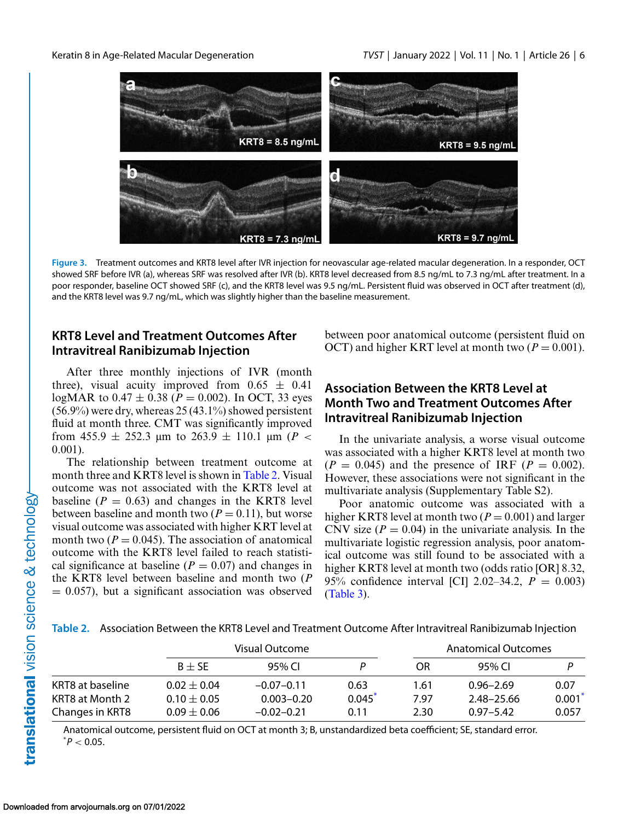<span id="page-5-0"></span>

**Figure 3.** Treatment outcomes and KRT8 level after IVR injection for neovascular age-related macular degeneration. In a responder, OCT showed SRF before IVR (a), whereas SRF was resolved after IVR (b). KRT8 level decreased from 8.5 ng/mL to 7.3 ng/mL after treatment. In a poor responder, baseline OCT showed SRF (c), and the KRT8 level was 9.5 ng/mL. Persistent fluid was observed in OCT after treatment (d), and the KRT8 level was 9.7 ng/mL, which was slightly higher than the baseline measurement.

#### **KRT8 Level and Treatment Outcomes After Intravitreal Ranibizumab Injection**

After three monthly injections of IVR (month three), visual acuity improved from  $0.65 \pm 0.41$ logMAR to  $0.47 \pm 0.38$  ( $P = 0.002$ ). In OCT, 33 eyes  $(56.9\%)$  were dry, whereas 25 (43.1%) showed persistent fluid at month three. CMT was significantly improved from 455.9  $\pm$  252.3  $\mu$ m to 263.9  $\pm$  110.1  $\mu$ m (*P <* 0.001).

The relationship between treatment outcome at month three and KRT8 level is shown in Table 2. Visual outcome was not associated with the KRT8 level at baseline  $(P = 0.63)$  and changes in the KRT8 level between baseline and month two  $(P = 0.11)$ , but worse visual outcome was associated with higher KRT level at month two  $(P = 0.045)$ . The association of anatomical outcome with the KRT8 level failed to reach statistical significance at baseline  $(P = 0.07)$  and changes in the KRT8 level between baseline and month two (*P*  $= 0.057$ , but a significant association was observed between poor anatomical outcome (persistent fluid on OCT) and higher KRT level at month two  $(P = 0.001)$ .

#### **Association Between the KRT8 Level at Month Two and Treatment Outcomes After Intravitreal Ranibizumab Injection**

In the univariate analysis, a worse visual outcome was associated with a higher KRT8 level at month two  $(P = 0.045)$  and the presence of IRF  $(P = 0.002)$ . However, these associations were not significant in the multivariate analysis (Supplementary Table S2).

Poor anatomic outcome was associated with a higher KRT8 level at month two  $(P = 0.001)$  and larger CNV size  $(P = 0.04)$  in the univariate analysis. In the multivariate logistic regression analysis, poor anatomical outcome was still found to be associated with a higher KRT8 level at month two (odds ratio [OR] 8.32, 95% confidence interval [CI] 2.02–34.2, *P* = 0.003) [\(Table 3\)](#page-6-0).

**Table 2.** Association Between the KRT8 Level and Treatment Outcome After Intravitreal Ranibizumab Injection

|                  |                 | Visual Outcome |        |      | Anatomical Outcomes |       |  |  |
|------------------|-----------------|----------------|--------|------|---------------------|-------|--|--|
|                  | $B + SE$        | 95% CL         |        | OR.  | 95% CL              |       |  |  |
| KRT8 at baseline | $0.02 + 0.04$   | $-0.07-0.11$   | 0.63   | 1.61 | $0.96 - 2.69$       | 0.07  |  |  |
| KRT8 at Month 2  | $0.10 + 0.05$   | $0.003 - 0.20$ | 0.045' | 7.97 | 2.48-25.66          | 0.001 |  |  |
| Changes in KRT8  | $0.09 \pm 0.06$ | $-0.02 - 0.21$ | 0.11   | 2.30 | $0.97 - 5.42$       | 0.057 |  |  |

Anatomical outcome, persistent fluid on OCT at month 3; B, unstandardized beta coefficient; SE, standard error.  $^*P < 0.05$ .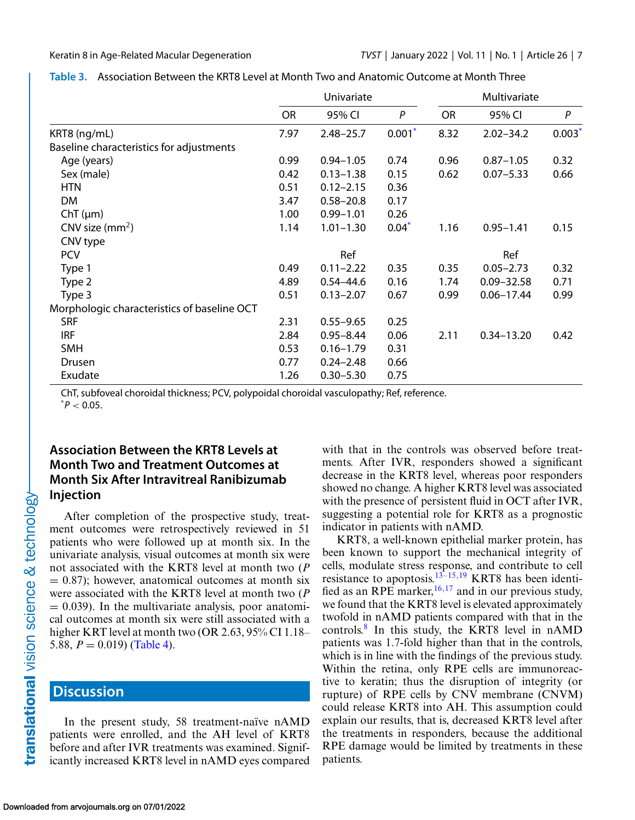|                                             | Univariate |               |          | Multivariate |                |       |
|---------------------------------------------|------------|---------------|----------|--------------|----------------|-------|
|                                             | <b>OR</b>  | 95% CI        | P        | <b>OR</b>    | 95% CI         | P     |
| KRT8 (ng/mL)                                | 7.97       | $2.48 - 25.7$ | $0.001*$ | 8.32         | $2.02 - 34.2$  | 0.003 |
| Baseline characteristics for adjustments    |            |               |          |              |                |       |
| Age (years)                                 | 0.99       | $0.94 - 1.05$ | 0.74     | 0.96         | $0.87 - 1.05$  | 0.32  |
| Sex (male)                                  | 0.42       | $0.13 - 1.38$ | 0.15     | 0.62         | $0.07 - 5.33$  | 0.66  |
| <b>HTN</b>                                  | 0.51       | $0.12 - 2.15$ | 0.36     |              |                |       |
| DM                                          | 3.47       | $0.58 - 20.8$ | 0.17     |              |                |       |
| $ChT(\mu m)$                                | 1.00       | $0.99 - 1.01$ | 0.26     |              |                |       |
| CNV size $(mm2)$                            | 1.14       | $1.01 - 1.30$ | $0.04*$  | 1.16         | $0.95 - 1.41$  | 0.15  |
| CNV type                                    |            |               |          |              |                |       |
| <b>PCV</b>                                  |            | Ref           |          |              | Ref            |       |
| Type 1                                      | 0.49       | $0.11 - 2.22$ | 0.35     | 0.35         | $0.05 - 2.73$  | 0.32  |
| Type 2                                      | 4.89       | $0.54 - 44.6$ | 0.16     | 1.74         | $0.09 - 32.58$ | 0.71  |
| Type 3                                      | 0.51       | $0.13 - 2.07$ | 0.67     | 0.99         | $0.06 - 17.44$ | 0.99  |
| Morphologic characteristics of baseline OCT |            |               |          |              |                |       |
| <b>SRF</b>                                  | 2.31       | $0.55 - 9.65$ | 0.25     |              |                |       |
| <b>IRF</b>                                  | 2.84       | $0.95 - 8.44$ | 0.06     | 2.11         | $0.34 - 13.20$ | 0.42  |
| <b>SMH</b>                                  | 0.53       | $0.16 - 1.79$ | 0.31     |              |                |       |
| Drusen                                      | 0.77       | $0.24 - 2.48$ | 0.66     |              |                |       |
| Exudate                                     | 1.26       | $0.30 - 5.30$ | 0.75     |              |                |       |

<span id="page-6-0"></span>

| Table 3. Association Between the KRT8 Level at Month Two and Anatomic Outcome at Month Three |  |
|----------------------------------------------------------------------------------------------|--|
|----------------------------------------------------------------------------------------------|--|

ChT, subfoveal choroidal thickness; PCV, polypoidal choroidal vasculopathy; Ref, reference.

 $^*P < 0.05$ .

### **Association Between the KRT8 Levels at Month Two and Treatment Outcomes at Month Six After Intravitreal Ranibizumab Injection**

After completion of the prospective study, treatment outcomes were retrospectively reviewed in 51 patients who were followed up at month six. In the univariate analysis, visual outcomes at month six were not associated with the KRT8 level at month two (*P*  $= 0.87$ ); however, anatomical outcomes at month six were associated with the KRT8 level at month two (*P*  $= 0.039$ ). In the multivariate analysis, poor anatomical outcomes at month six were still associated with a higher KRT level at month two (OR 2.63, 95% CI 1.18– 5.88,  $P = 0.019$  [\(Table 4\)](#page-7-0).

# **Discussion**

In the present study, 58 treatment-naïve nAMD patients were enrolled, and the AH level of KRT8 before and after IVR treatments was examined. Significantly increased KRT8 level in nAMD eyes compared with that in the controls was observed before treatments. After IVR, responders showed a significant decrease in the KRT8 level, whereas poor responders showed no change. A higher KRT8 level was associated with the presence of persistent fluid in OCT after IVR, suggesting a potential role for KRT8 as a prognostic indicator in patients with nAMD.

KRT8, a well-known epithelial marker protein, has been known to support the mechanical integrity of cells, modulate stress response, and contribute to cell resistance to apoptosis.<sup>[13–15,19](#page-9-0)</sup> KRT8 has been identified as an RPE marker,  $16,17$  and in our previous study, we found that the KRT8 level is elevated approximately twofold in nAMD patients compared with that in the controls.[8](#page-9-0) In this study, the KRT8 level in nAMD patients was 1.7-fold higher than that in the controls, which is in line with the findings of the previous study. Within the retina, only RPE cells are immunoreactive to keratin; thus the disruption of integrity (or rupture) of RPE cells by CNV membrane (CNVM) could release KRT8 into AH. This assumption could explain our results, that is, decreased KRT8 level after the treatments in responders, because the additional RPE damage would be limited by treatments in these patients.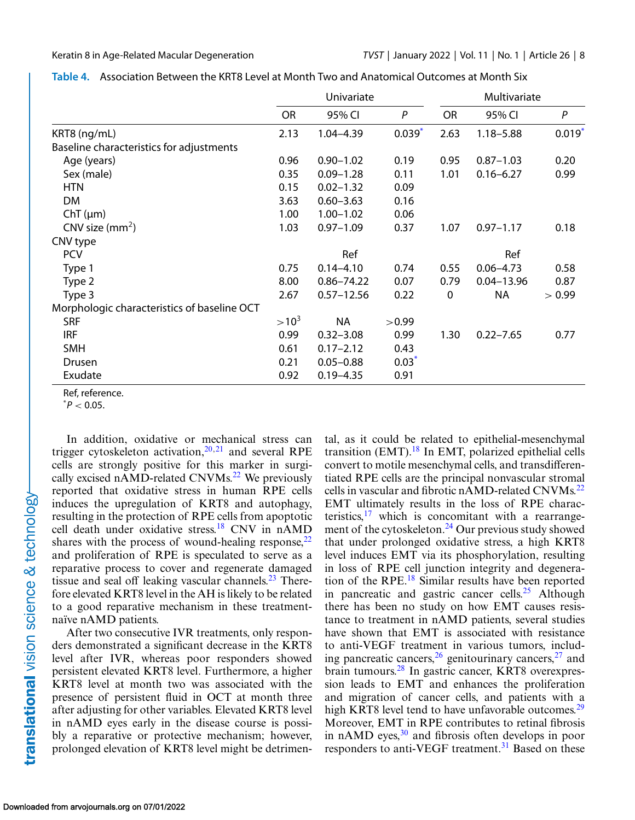|                                             | Univariate |                |             | Multivariate |                |                      |
|---------------------------------------------|------------|----------------|-------------|--------------|----------------|----------------------|
|                                             | <b>OR</b>  | 95% CI         | P           | <b>OR</b>    | 95% CI         | P                    |
| KRT8 (ng/mL)                                | 2.13       | $1.04 - 4.39$  | $0.039^{*}$ | 2.63         | $1.18 - 5.88$  | $0.019$ <sup>*</sup> |
| Baseline characteristics for adjustments    |            |                |             |              |                |                      |
| Age (years)                                 | 0.96       | $0.90 - 1.02$  | 0.19        | 0.95         | $0.87 - 1.03$  | 0.20                 |
| Sex (male)                                  | 0.35       | $0.09 - 1.28$  | 0.11        | 1.01         | $0.16 - 6.27$  | 0.99                 |
| <b>HTN</b>                                  | 0.15       | $0.02 - 1.32$  | 0.09        |              |                |                      |
| <b>DM</b>                                   | 3.63       | $0.60 - 3.63$  | 0.16        |              |                |                      |
| $ChT(\mu m)$                                | 1.00       | $1.00 - 1.02$  | 0.06        |              |                |                      |
| CNV size $(mm2)$                            | 1.03       | $0.97 - 1.09$  | 0.37        | 1.07         | $0.97 - 1.17$  | 0.18                 |
| CNV type                                    |            |                |             |              |                |                      |
| <b>PCV</b>                                  |            | Ref            |             |              | Ref            |                      |
| Type 1                                      | 0.75       | $0.14 - 4.10$  | 0.74        | 0.55         | $0.06 - 4.73$  | 0.58                 |
| Type 2                                      | 8.00       | $0.86 - 74.22$ | 0.07        | 0.79         | $0.04 - 13.96$ | 0.87                 |
| Type 3                                      | 2.67       | $0.57 - 12.56$ | 0.22        | $\mathbf 0$  | <b>NA</b>      | > 0.99               |
| Morphologic characteristics of baseline OCT |            |                |             |              |                |                      |
| <b>SRF</b>                                  | $>10^3$    | <b>NA</b>      | >0.99       |              |                |                      |
| <b>IRF</b>                                  | 0.99       | $0.32 - 3.08$  | 0.99        | 1.30         | $0.22 - 7.65$  | 0.77                 |
| <b>SMH</b>                                  | 0.61       | $0.17 - 2.12$  | 0.43        |              |                |                      |
| Drusen                                      | 0.21       | $0.05 - 0.88$  | $0.03*$     |              |                |                      |
| Exudate                                     | 0.92       | $0.19 - 4.35$  | 0.91        |              |                |                      |

<span id="page-7-0"></span>

| Table 4. Association Between the KRT8 Level at Month Two and Anatomical Outcomes at Month Six |  |
|-----------------------------------------------------------------------------------------------|--|
|-----------------------------------------------------------------------------------------------|--|

Ref, reference.

 $^*P < 0.05$ .

In addition, oxidative or mechanical stress can trigger cytoskeleton activation, $20,21$  and several RPE cells are strongly positive for this marker in surgi-cally excised nAMD-related CNVMs.<sup>[22](#page-9-0)</sup> We previously reported that oxidative stress in human RPE cells induces the upregulation of KRT8 and autophagy, resulting in the protection of RPE cells from apoptotic cell death under oxidative stress[.18](#page-9-0) CNV in nAMD shares with the process of wound-healing response,  $22$ and proliferation of RPE is speculated to serve as a reparative process to cover and regenerate damaged tissue and seal off leaking vascular channels. $^{23}$  Therefore elevated KRT8 level in the AH is likely to be related to a good reparative mechanism in these treatmentnaïve nAMD patients.

After two consecutive IVR treatments, only responders demonstrated a significant decrease in the KRT8 level after IVR, whereas poor responders showed persistent elevated KRT8 level. Furthermore, a higher KRT8 level at month two was associated with the presence of persistent fluid in OCT at month three after adjusting for other variables. Elevated KRT8 level in nAMD eyes early in the disease course is possibly a reparative or protective mechanism; however, prolonged elevation of KRT8 level might be detrimen-

tal, as it could be related to epithelial-mesenchymal transition (EMT). $^{18}$  $^{18}$  $^{18}$  In EMT, polarized epithelial cells convert to motile mesenchymal cells, and transdifferentiated RPE cells are the principal nonvascular stromal cells in vascular and fibrotic nAMD-related CNVMs.<sup>22</sup> EMT ultimately results in the loss of RPE characteristics, $17$  which is concomitant with a rearrangement of the cytoskeleton.<sup>24</sup> Our previous study showed that under prolonged oxidative stress, a high KRT8 level induces EMT via its phosphorylation, resulting in loss of RPE cell junction integrity and degeneration of the RPE[.18](#page-9-0) Similar results have been reported in pancreatic and gastric cancer cells.<sup>[25](#page-9-0)</sup> Although there has been no study on how EMT causes resistance to treatment in nAMD patients, several studies have shown that EMT is associated with resistance to anti-VEGF treatment in various tumors, including pancreatic cancers,  $26$  genitourinary cancers,  $27$  and brain tumours[.28](#page-9-0) In gastric cancer, KRT8 overexpression leads to EMT and enhances the proliferation and migration of cancer cells, and patients with a high KRT8 level tend to have unfavorable outcomes.<sup>29</sup> Moreover, EMT in RPE contributes to retinal fibrosis in nAMD eyes, $30$  and fibrosis often develops in poor responders to anti-VEGF treatment.<sup>[31](#page-10-0)</sup> Based on these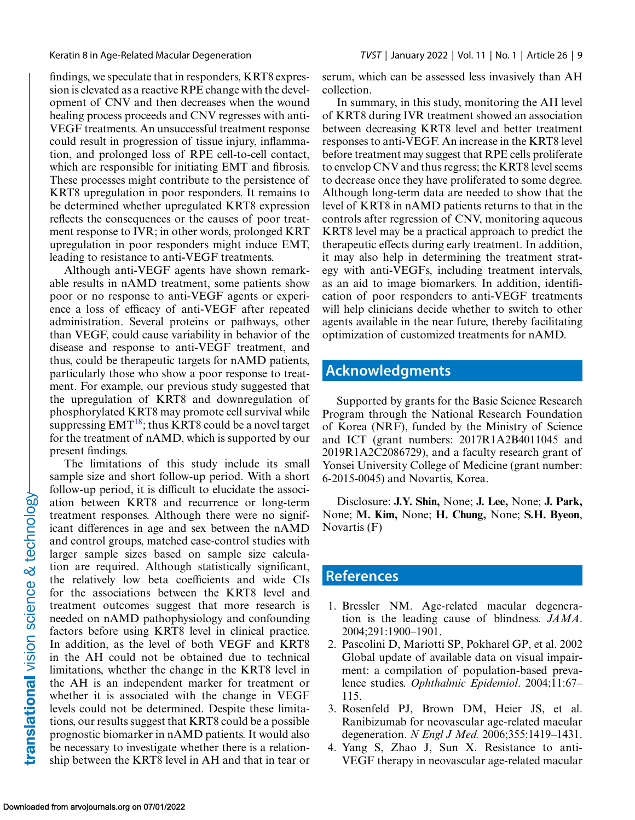<span id="page-8-0"></span>findings, we speculate that in responders, KRT8 expression is elevated as a reactive RPE change with the development of CNV and then decreases when the wound healing process proceeds and CNV regresses with anti-VEGF treatments. An unsuccessful treatment response could result in progression of tissue injury, inflammation, and prolonged loss of RPE cell-to-cell contact, which are responsible for initiating EMT and fibrosis. These processes might contribute to the persistence of KRT8 upregulation in poor responders. It remains to be determined whether upregulated KRT8 expression reflects the consequences or the causes of poor treatment response to IVR; in other words, prolonged KRT upregulation in poor responders might induce EMT, leading to resistance to anti-VEGF treatments.

Although anti-VEGF agents have shown remarkable results in nAMD treatment, some patients show poor or no response to anti-VEGF agents or experience a loss of efficacy of anti-VEGF after repeated administration. Several proteins or pathways, other than VEGF, could cause variability in behavior of the disease and response to anti-VEGF treatment, and thus, could be therapeutic targets for nAMD patients, particularly those who show a poor response to treatment. For example, our previous study suggested that the upregulation of KRT8 and downregulation of phosphorylated KRT8 may promote cell survival while suppressing  $EMT^{18}$ ; thus KRT8 could be a novel target for the treatment of nAMD, which is supported by our present findings.

The limitations of this study include its small sample size and short follow-up period. With a short follow-up period, it is difficult to elucidate the association between KRT8 and recurrence or long-term treatment responses. Although there were no significant differences in age and sex between the nAMD and control groups, matched case-control studies with larger sample sizes based on sample size calculation are required. Although statistically significant, the relatively low beta coefficients and wide CIs for the associations between the KRT8 level and treatment outcomes suggest that more research is needed on nAMD pathophysiology and confounding factors before using KRT8 level in clinical practice. In addition, as the level of both VEGF and KRT8 in the AH could not be obtained due to technical limitations, whether the change in the KRT8 level in the AH is an independent marker for treatment or whether it is associated with the change in VEGF levels could not be determined. Despite these limitations, our results suggest that KRT8 could be a possible prognostic biomarker in nAMD patients. It would also be necessary to investigate whether there is a relationship between the KRT8 level in AH and that in tear or serum, which can be assessed less invasively than AH collection.

In summary, in this study, monitoring the AH level of KRT8 during IVR treatment showed an association between decreasing KRT8 level and better treatment responses to anti-VEGF. An increase in the KRT8 level before treatment may suggest that RPE cells proliferate to envelop CNV and thus regress; the KRT8 level seems to decrease once they have proliferated to some degree. Although long-term data are needed to show that the level of KRT8 in nAMD patients returns to that in the controls after regression of CNV, monitoring aqueous KRT8 level may be a practical approach to predict the therapeutic effects during early treatment. In addition, it may also help in determining the treatment strategy with anti-VEGFs, including treatment intervals, as an aid to image biomarkers. In addition, identification of poor responders to anti-VEGF treatments will help clinicians decide whether to switch to other agents available in the near future, thereby facilitating optimization of customized treatments for nAMD.

# **Acknowledgments**

Supported by grants for the Basic Science Research Program through the National Research Foundation of Korea (NRF), funded by the Ministry of Science and ICT (grant numbers: 2017R1A2B4011045 and 2019R1A2C2086729), and a faculty research grant of Yonsei University College of Medicine (grant number: 6-2015-0045) and Novartis, Korea.

Disclosure: **J.Y. Shin,** None; **J. Lee,** None; **J. Park,** None; **M. Kim,** None; **H. Chung,** None; **S.H. Byeon**, Novartis (F)

### **References**

- 1. Bressler NM. Age-related macular degeneration is the leading cause of blindness. *JAMA*. 2004;291:1900–1901.
- 2. Pascolini D, Mariotti SP, Pokharel GP, et al. 2002 Global update of available data on visual impairment: a compilation of population-based prevalence studies. *Ophthalmic Epidemiol*. 2004;11:67– 115.
- 3. Rosenfeld PJ, Brown DM, Heier JS, et al. Ranibizumab for neovascular age-related macular degeneration. *N Engl J Med.* 2006;355:1419–1431.
- 4. Yang S, Zhao J, Sun X. Resistance to anti-VEGF therapy in neovascular age-related macular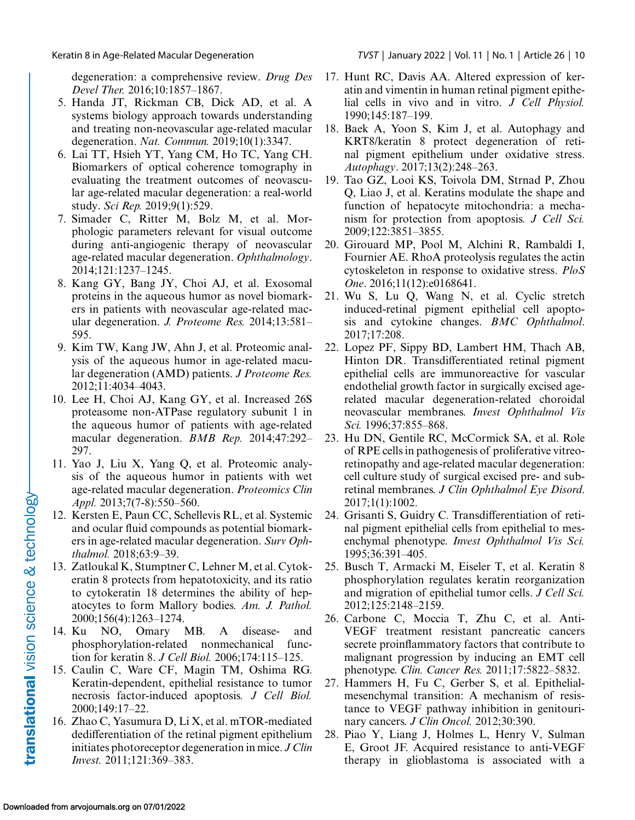<span id="page-9-0"></span>degeneration: a comprehensive review. *Drug Des Devel Ther.* 2016;10:1857–1867.

- 5. Handa JT, Rickman CB, Dick AD, et al. A systems biology approach towards understanding and treating non-neovascular age-related macular degeneration. *Nat. Commun.* 2019;10(1):3347.
- 6. Lai TT, Hsieh YT, Yang CM, Ho TC, Yang CH. Biomarkers of optical coherence tomography in evaluating the treatment outcomes of neovascular age-related macular degeneration: a real-world study. *Sci Rep.* 2019;9(1):529.
- 7. Simader C, Ritter M, Bolz M, et al. Morphologic parameters relevant for visual outcome during anti-angiogenic therapy of neovascular age-related macular degeneration. *Ophthalmology*. 2014;121:1237–1245.
- 8. Kang GY, Bang JY, Choi AJ, et al. Exosomal proteins in the aqueous humor as novel biomarkers in patients with neovascular age-related macular degeneration. *J. Proteome Res.* 2014;13:581– 595.
- 9. Kim TW, Kang JW, Ahn J, et al. Proteomic analysis of the aqueous humor in age-related macular degeneration (AMD) patients. *J Proteome Res.* 2012;11:4034–4043.
- 10. Lee H, Choi AJ, Kang GY, et al. Increased 26S proteasome non-ATPase regulatory subunit 1 in the aqueous humor of patients with age-related macular degeneration. *BMB Rep.* 2014;47:292– 297.
- 11. Yao J, Liu X, Yang Q, et al. Proteomic analysis of the aqueous humor in patients with wet age-related macular degeneration. *Proteomics Clin Appl.* 2013;7(7-8):550–560.
- 12. Kersten E, Paun CC, Schellevis RL, et al. Systemic and ocular fluid compounds as potential biomarkers in age-related macular degeneration. *Surv Ophthalmol.* 2018;63:9–39.
- 13. Zatloukal K, Stumptner C, Lehner M, et al. Cytokeratin 8 protects from hepatotoxicity, and its ratio to cytokeratin 18 determines the ability of hepatocytes to form Mallory bodies. *Am. J. Pathol.* 2000;156(4):1263–1274.
- 14. Ku NO, Omary MB. A disease- and phosphorylation-related nonmechanical function for keratin 8. *J Cell Biol.* 2006;174:115–125.
- 15. Caulin C, Ware CF, Magin TM, Oshima RG. Keratin-dependent, epithelial resistance to tumor necrosis factor-induced apoptosis*. J Cell Biol.* 2000;149:17–22.
- 16. Zhao C, Yasumura D, Li X, et al. mTOR-mediated dedifferentiation of the retinal pigment epithelium initiates photoreceptor degeneration in mice. *J Clin Invest.* 2011;121:369–383.
- 17. Hunt RC, Davis AA. Altered expression of keratin and vimentin in human retinal pigment epithelial cells in vivo and in vitro. *J Cell Physiol.* 1990;145:187–199.
- 18. Baek A, Yoon S, Kim J, et al. Autophagy and KRT8/keratin 8 protect degeneration of retinal pigment epithelium under oxidative stress. *Autophagy*. 2017;13(2):248–263.
- 19. Tao GZ, Looi KS, Toivola DM, Strnad P, Zhou Q, Liao J, et al. Keratins modulate the shape and function of hepatocyte mitochondria: a mechanism for protection from apoptosis. *J Cell Sci.* 2009;122:3851–3855.
- 20. Girouard MP, Pool M, Alchini R, Rambaldi I, Fournier AE. RhoA proteolysis regulates the actin cytoskeleton in response to oxidative stress. *PloS One*. 2016;11(12):e0168641.
- 21. Wu S, Lu Q, Wang N, et al. Cyclic stretch induced-retinal pigment epithelial cell apoptosis and cytokine changes. *BMC Ophthalmol*. 2017;17:208.
- 22. Lopez PF, Sippy BD, Lambert HM, Thach AB, Hinton DR. Transdifferentiated retinal pigment epithelial cells are immunoreactive for vascular endothelial growth factor in surgically excised agerelated macular degeneration-related choroidal neovascular membranes. *Invest Ophthalmol Vis Sci.* 1996;37:855–868.
- 23. Hu DN, Gentile RC, McCormick SA, et al. Role of RPE cells in pathogenesis of proliferative vitreoretinopathy and age-related macular degeneration: cell culture study of surgical excised pre- and subretinal membranes. *J Clin Ophthalmol Eye Disord*. 2017;1(1):1002.
- 24. Grisanti S, Guidry C. Transdifferentiation of retinal pigment epithelial cells from epithelial to mesenchymal phenotype. *Invest Ophthalmol Vis Sci.* 1995;36:391–405.
- 25. Busch T, Armacki M, Eiseler T, et al. Keratin 8 phosphorylation regulates keratin reorganization and migration of epithelial tumor cells. *J Cell Sci.* 2012;125:2148–2159.
- 26. Carbone C, Moccia T, Zhu C, et al. Anti-VEGF treatment resistant pancreatic cancers secrete proinflammatory factors that contribute to malignant progression by inducing an EMT cell phenotype. *Clin. Cancer Res.* 2011;17:5822–5832.
- 27. Hammers H, Fu C, Gerber S, et al. Epithelialmesenchymal transition: A mechanism of resistance to VEGF pathway inhibition in genitourinary cancers. *J Clin Oncol.* 2012;30:390.
- 28. Piao Y, Liang J, Holmes L, Henry V, Sulman E, Groot JF. Acquired resistance to anti-VEGF therapy in glioblastoma is associated with a